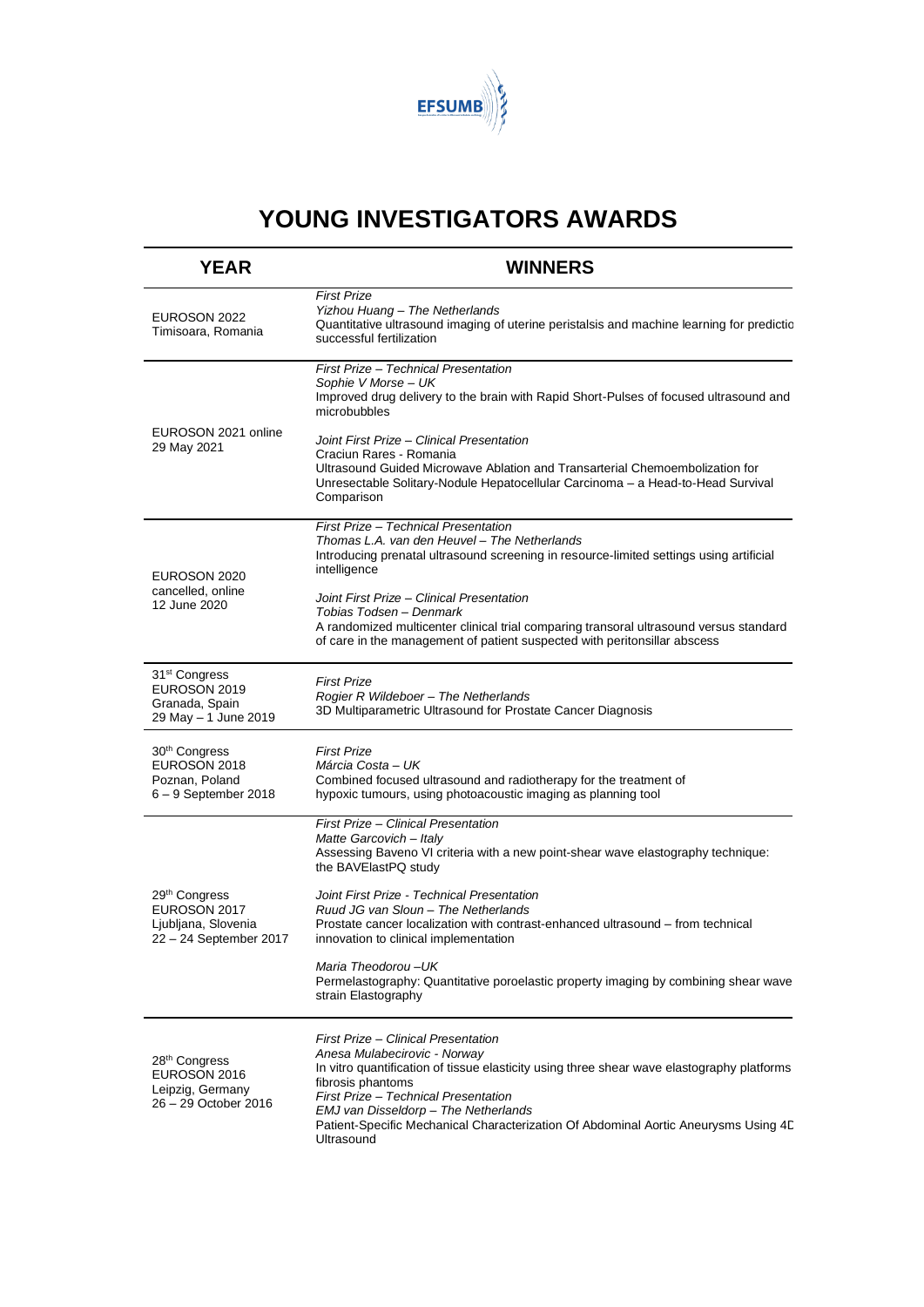

## **YOUNG INVESTIGATORS AWARDS**

| <b>YEAR</b>                                                                                | <b>WINNERS</b>                                                                                                                                                                                                                                                                                                                                                                                                                                                                                                                  |
|--------------------------------------------------------------------------------------------|---------------------------------------------------------------------------------------------------------------------------------------------------------------------------------------------------------------------------------------------------------------------------------------------------------------------------------------------------------------------------------------------------------------------------------------------------------------------------------------------------------------------------------|
| EUROSON 2022<br>Timisoara, Romania                                                         | <b>First Prize</b><br>Yizhou Huang - The Netherlands<br>Quantitative ultrasound imaging of uterine peristalsis and machine learning for predictio<br>successful fertilization                                                                                                                                                                                                                                                                                                                                                   |
| EUROSON 2021 online<br>29 May 2021                                                         | First Prize - Technical Presentation<br>Sophie V Morse – UK<br>Improved drug delivery to the brain with Rapid Short-Pulses of focused ultrasound and<br>microbubbles<br>Joint First Prize - Clinical Presentation<br>Craciun Rares - Romania<br>Ultrasound Guided Microwave Ablation and Transarterial Chemoembolization for<br>Unresectable Solitary-Nodule Hepatocellular Carcinoma - a Head-to-Head Survival<br>Comparison                                                                                                   |
| EUROSON 2020<br>cancelled, online<br>12 June 2020                                          | First Prize - Technical Presentation<br>Thomas L.A. van den Heuvel - The Netherlands<br>Introducing prenatal ultrasound screening in resource-limited settings using artificial<br>intelligence<br>Joint First Prize - Clinical Presentation<br>Tobias Todsen - Denmark<br>A randomized multicenter clinical trial comparing transoral ultrasound versus standard<br>of care in the management of patient suspected with peritonsillar abscess                                                                                  |
| 31 <sup>st</sup> Congress<br>EUROSON 2019<br>Granada, Spain<br>29 May - 1 June 2019        | <b>First Prize</b><br>Rogier R Wildeboer - The Netherlands<br>3D Multiparametric Ultrasound for Prostate Cancer Diagnosis                                                                                                                                                                                                                                                                                                                                                                                                       |
| 30 <sup>th</sup> Congress<br>EUROSON 2018<br>Poznan, Poland<br>$6 - 9$ September 2018      | <b>First Prize</b><br>Márcia Costa – UK<br>Combined focused ultrasound and radiotherapy for the treatment of<br>hypoxic tumours, using photoacoustic imaging as planning tool                                                                                                                                                                                                                                                                                                                                                   |
| 29 <sup>th</sup> Congress<br>EUROSON 2017<br>Ljubljana, Slovenia<br>22 - 24 September 2017 | First Prize - Clinical Presentation<br>Matte Garcovich - Italy<br>Assessing Baveno VI criteria with a new point-shear wave elastography technique:<br>the BAVElastPQ study<br>Joint First Prize - Technical Presentation<br>Ruud JG van Sloun - The Netherlands<br>Prostate cancer localization with contrast-enhanced ultrasound – from technical<br>innovation to clinical implementation<br>Maria Theodorou-UK<br>Permelastography: Quantitative poroelastic property imaging by combining shear wave<br>strain Elastography |
| 28 <sup>th</sup> Congress<br>EUROSON 2016<br>Leipzig, Germany<br>26 - 29 October 2016      | First Prize - Clinical Presentation<br>Anesa Mulabecirovic - Norway<br>In vitro quantification of tissue elasticity using three shear wave elastography platforms<br>fibrosis phantoms<br>First Prize - Technical Presentation<br>EMJ van Disseldorp - The Netherlands<br>Patient-Specific Mechanical Characterization Of Abdominal Aortic Aneurysms Using 4D<br>Ultrasound                                                                                                                                                     |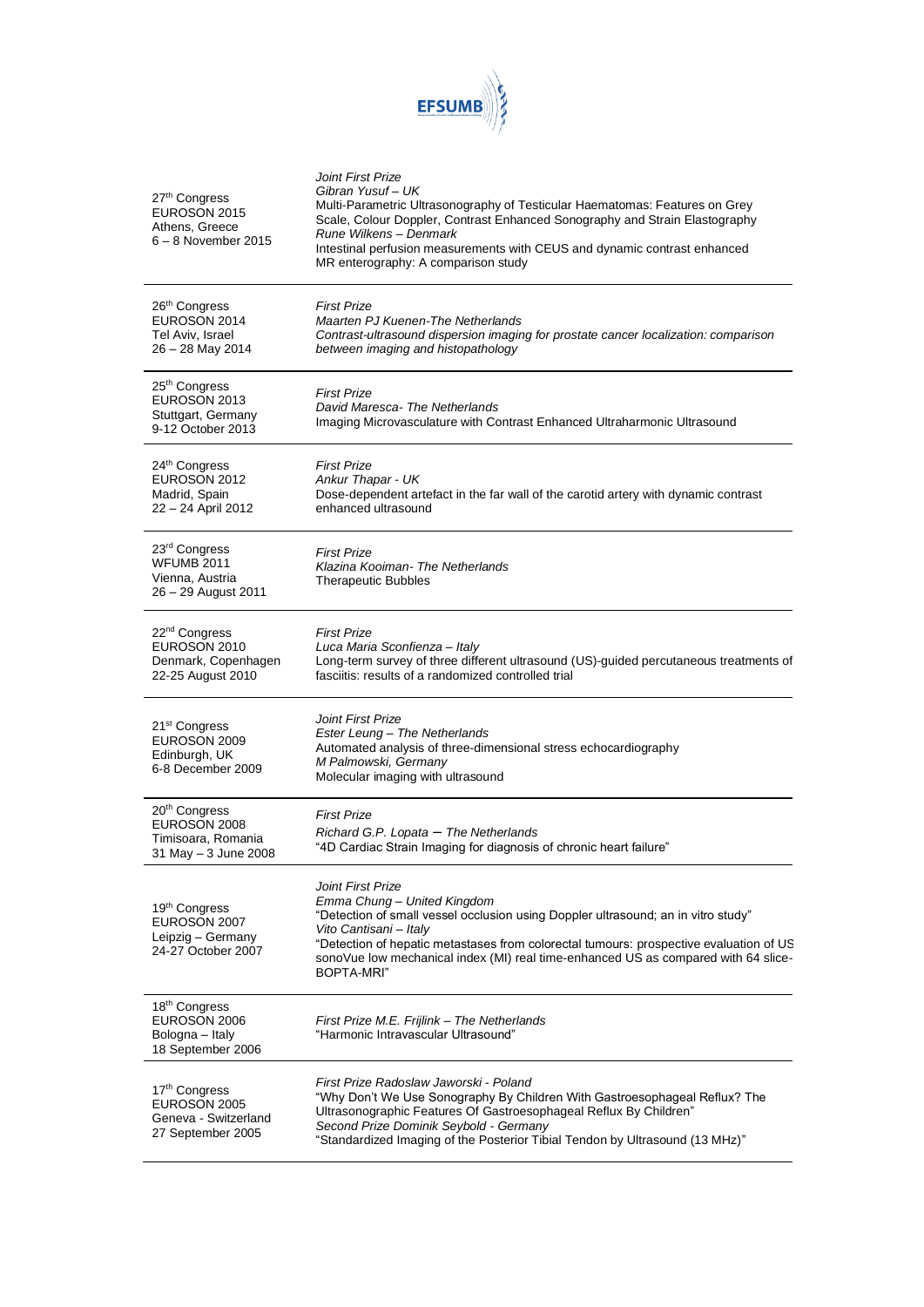

| 27th Congress<br>EUROSON 2015<br>Athens, Greece<br>$6 - 8$ November 2015                 | Joint First Prize<br>Gibran Yusuf - UK<br>Multi-Parametric Ultrasonography of Testicular Haematomas: Features on Grey<br>Scale, Colour Doppler, Contrast Enhanced Sonography and Strain Elastography<br>Rune Wilkens - Denmark<br>Intestinal perfusion measurements with CEUS and dynamic contrast enhanced<br>MR enterography: A comparison study            |
|------------------------------------------------------------------------------------------|---------------------------------------------------------------------------------------------------------------------------------------------------------------------------------------------------------------------------------------------------------------------------------------------------------------------------------------------------------------|
| 26 <sup>th</sup> Congress<br>EUROSON 2014<br>Tel Aviv, Israel<br>26 - 28 May 2014        | <b>First Prize</b><br>Maarten PJ Kuenen-The Netherlands<br>Contrast-ultrasound dispersion imaging for prostate cancer localization: comparison<br>between imaging and histopathology                                                                                                                                                                          |
| 25 <sup>th</sup> Congress<br>EUROSON 2013<br>Stuttgart, Germany<br>9-12 October 2013     | <b>First Prize</b><br>David Maresca- The Netherlands<br>Imaging Microvasculature with Contrast Enhanced Ultraharmonic Ultrasound                                                                                                                                                                                                                              |
| 24th Congress<br>EUROSON 2012<br>Madrid, Spain<br>22 - 24 April 2012                     | <b>First Prize</b><br>Ankur Thapar - UK<br>Dose-dependent artefact in the far wall of the carotid artery with dynamic contrast<br>enhanced ultrasound                                                                                                                                                                                                         |
| 23 <sup>rd</sup> Congress<br><b>WFUMB 2011</b><br>Vienna, Austria<br>26 - 29 August 2011 | <b>First Prize</b><br>Klazina Kooiman-The Netherlands<br><b>Therapeutic Bubbles</b>                                                                                                                                                                                                                                                                           |
| 22 <sup>nd</sup> Congress<br>EUROSON 2010<br>Denmark, Copenhagen<br>22-25 August 2010    | <b>First Prize</b><br>Luca Maria Sconfienza - Italy<br>Long-term survey of three different ultrasound (US)-guided percutaneous treatments of<br>fasciitis: results of a randomized controlled trial                                                                                                                                                           |
| 21 <sup>st</sup> Congress<br>EUROSON 2009<br>Edinburgh, UK<br>6-8 December 2009          | Joint First Prize<br>Ester Leung - The Netherlands<br>Automated analysis of three-dimensional stress echocardiography<br>M Palmowski, Germany<br>Molecular imaging with ultrasound                                                                                                                                                                            |
| 20 <sup>th</sup> Congress<br>EUROSON 2008<br>Timisoara, Romania<br>31 May - 3 June 2008  | <b>First Prize</b><br>Richard G.P. Lopata - The Netherlands<br>"4D Cardiac Strain Imaging for diagnosis of chronic heart failure"                                                                                                                                                                                                                             |
| 19th Congress<br>EUROSON 2007<br>Leipzig - Germany<br>24-27 October 2007                 | Joint First Prize<br>Emma Chung - United Kingdom<br>"Detection of small vessel occlusion using Doppler ultrasound; an in vitro study"<br>Vito Cantisani - Italy<br>"Detection of hepatic metastases from colorectal tumours: prospective evaluation of US<br>sonoVue low mechanical index (MI) real time-enhanced US as compared with 64 slice-<br>BOPTA-MRI" |
| 18 <sup>th</sup> Congress<br>EUROSON 2006<br>Bologna - Italy<br>18 September 2006        | First Prize M.E. Frijlink - The Netherlands<br>"Harmonic Intravascular Ultrasound"                                                                                                                                                                                                                                                                            |
| 17th Congress<br>EUROSON 2005<br>Geneva - Switzerland<br>27 September 2005               | First Prize Radoslaw Jaworski - Poland<br>"Why Don't We Use Sonography By Children With Gastroesophageal Reflux? The<br>Ultrasonographic Features Of Gastroesophageal Reflux By Children"<br>Second Prize Dominik Seybold - Germany<br>"Standardized Imaging of the Posterior Tibial Tendon by Ultrasound (13 MHz)"                                           |